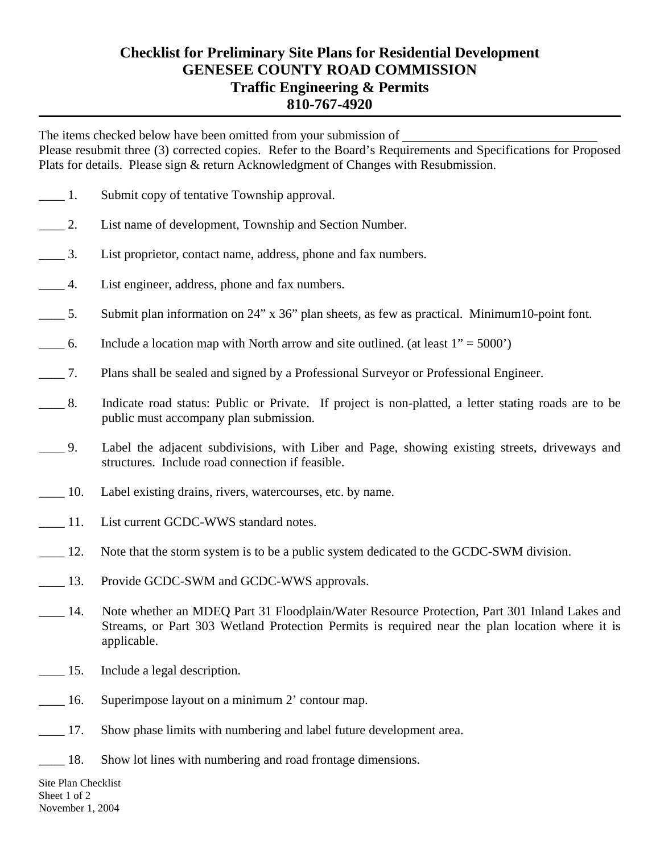## **Checklist for Preliminary Site Plans for Residential Development GENESEE COUNTY ROAD COMMISSION Traffic Engineering & Permits 810-767-4920**

The items checked below have been omitted from your submission of Please resubmit three (3) corrected copies. Refer to the Board's Requirements and Specifications for Proposed Plats for details. Please sign & return Acknowledgment of Changes with Resubmission.

- \_\_\_\_ 1. Submit copy of tentative Township approval.
- \_\_\_\_ 2. List name of development, Township and Section Number.
- \_\_\_\_ 3. List proprietor, contact name, address, phone and fax numbers.
- \_\_\_\_ 4. List engineer, address, phone and fax numbers.
- \_\_\_\_ 5. Submit plan information on 24" x 36" plan sheets, as few as practical. Minimum10-point font.
- $\frac{1}{100}$  6. Include a location map with North arrow and site outlined. (at least 1" = 5000")
- \_\_\_\_ 7. Plans shall be sealed and signed by a Professional Surveyor or Professional Engineer.
- \_\_\_\_ 8. Indicate road status: Public or Private. If project is non-platted, a letter stating roads are to be public must accompany plan submission.
- \_\_\_\_ 9. Label the adjacent subdivisions, with Liber and Page, showing existing streets, driveways and structures. Include road connection if feasible.
- \_\_\_\_ 10. Label existing drains, rivers, watercourses, etc. by name.
- 11. List current GCDC-WWS standard notes.
- \_\_\_\_ 12. Note that the storm system is to be a public system dedicated to the GCDC-SWM division.
- 13. Provide GCDC-SWM and GCDC-WWS approvals.
- 14. Note whether an MDEQ Part 31 Floodplain/Water Resource Protection, Part 301 Inland Lakes and Streams, or Part 303 Wetland Protection Permits is required near the plan location where it is applicable.
- \_\_\_\_ 15. Include a legal description.
- 16. Superimpose layout on a minimum 2' contour map.
- 17. Show phase limits with numbering and label future development area.
- 18. Show lot lines with numbering and road frontage dimensions.

Site Plan Checklist Sheet 1 of 2 November 1, 2004